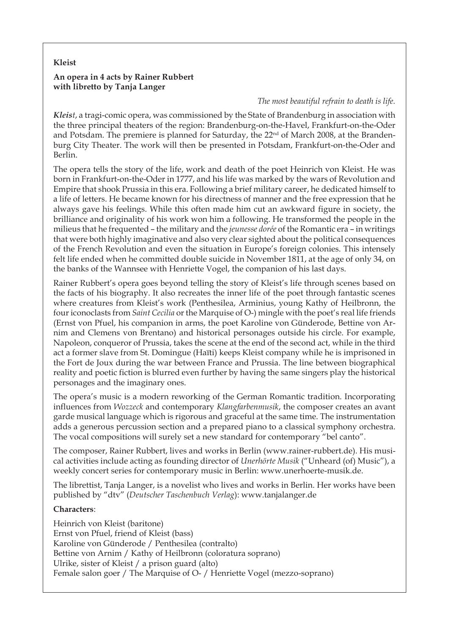## **Kleist**

## **An opera in 4 acts by Rainer Rubbert with libretto by Tanja Langer**

## *The most beautiful refrain to death is life.*

*Kleist*, a tragi-comic opera, was commissioned by the State of Brandenburg in association with the three principal theaters of the region: Brandenburg-on-the-Havel, Frankfurt-on-the-Oder and Potsdam. The premiere is planned for Saturday, the 22<sup>nd</sup> of March 2008, at the Brandenburg City Theater. The work will then be presented in Potsdam, Frankfurt-on-the-Oder and Berlin.

The opera tells the story of the life, work and death of the poet Heinrich von Kleist. He was born in Frankfurt-on-the-Oder in 1777, and his life was marked by the wars of Revolution and Empire that shook Prussia in this era. Following a brief military career, he dedicated himself to a life of letters. He became known for his directness of manner and the free expression that he always gave his feelings. While this often made him cut an awkward figure in society, the brilliance and originality of his work won him a following. He transformed the people in the milieus that he frequented – the military and the *jeunesse dorée* of the Romantic era – in writings that were both highly imaginative and also very clear sighted about the political consequences of the French Revolution and even the situation in Europe's foreign colonies. This intensely felt life ended when he committed double suicide in November 1811, at the age of only 34, on the banks of the Wannsee with Henriette Vogel, the companion of his last days.

Rainer Rubbert's opera goes beyond telling the story of Kleist's life through scenes based on the facts of his biography. It also recreates the inner life of the poet through fantastic scenes where creatures from Kleist's work (Penthesilea, Arminius, young Kathy of Heilbronn, the four iconoclasts from *Saint Cecilia* or the Marquise of O-) mingle with the poet's real life friends (Ernst von Pfuel, his companion in arms, the poet Karoline von Günderode, Bettine von Arnim and Clemens von Brentano) and historical personages outside his circle. For example, Napoleon, conqueror of Prussia, takes the scene at the end of the second act, while in the third act a former slave from St. Domingue (Haïti) keeps Kleist company while he is imprisoned in the Fort de Joux during the war between France and Prussia. The line between biographical reality and poetic fiction is blurred even further by having the same singers play the historical personages and the imaginary ones.

The opera's music is a modern reworking of the German Romantic tradition. Incorporating influences from *Wozzeck* and contemporary *Klangfarbenmusik*, the composer creates an avant garde musical language which is rigorous and graceful at the same time. The instrumentation adds a generous percussion section and a prepared piano to a classical symphony orchestra. The vocal compositions will surely set a new standard for contemporary "bel canto".

The composer, Rainer Rubbert, lives and works in Berlin (www.rainer-rubbert.de). His musical activities include acting as founding director of *Unerhörte Musik* ("Unheard (of) Music"), a weekly concert series for contemporary music in Berlin: www.unerhoerte-musik.de.

The librettist, Tanja Langer, is a novelist who lives and works in Berlin. Her works have been published by "dtv" (*Deutscher Taschenbuch Verlag*): www.tanjalanger.de

## **Characters**:

Heinrich von Kleist (baritone) Ernst von Pfuel, friend of Kleist (bass) Karoline von Günderode / Penthesilea (contralto) Bettine von Arnim / Kathy of Heilbronn (coloratura soprano) Ulrike, sister of Kleist / a prison guard (alto) Female salon goer / The Marquise of O- / Henriette Vogel (mezzo-soprano)